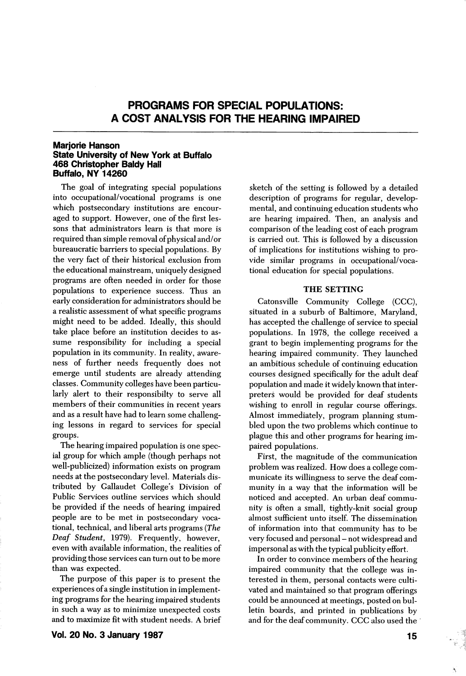# PROGRAMS FOR SPECIAL POPULATIONS: A COST ANALYSIS FOR THE HEARING IMPAIRED

#### Marjorie Hanson State University of New York at Buffalo **468 Christopher Baldy Hall** Buffalo, NY 14260

The goal of integrating special populations into occupational/vocational programs is one which postsecondary institutions are encour aged to support. However, one of the first les sons that administrators learn is that more is required than simple removal of physical and/or bureaucratic barriers to special populations. By the very fact of their historical exclusion from the educational mainstream, uniquely designed programs are often needed in order for those populations to experience success. Thus an early consideration for administrators should be a realistic assessment of what specific programs might need to be added. Ideally, this should take place before an institution decides to as sume responsibility for including a special population in its community. In reality, aware ness of further needs frequently does not emerge until students are already attending classes. Community colleges have been particu larly alert to their responsibilty to serve all members of their communities in recent years and as a result have had to learn some challeng ing lessons in regard to services for special groups.

The hearing impaired population is one spec ial group for which ample (though perhaps not well-publicized) information exists on program needs at the postsecondary level. Materials dis tributed by Gallaudet College's Division of Public Services outline services which should be provided if the needs of hearing impaired people are to be met in postsecondary voca tional, technical, and liberal arts programs {The Deaf Student, 1979). Frequently, however, even with available information, the realities of providing those services can turn out to be more than was expected.

The purpose of this paper is to present the experiences of a single institution in implement ing programs for the hearing impaired students in such a way as to minimize unexpected costs and to maximize fit with student needs. A brief sketch of the setting is followed by a detailed description of programs for regular, develop mental, and continuing education students who are hearing impaired. Then, an analysis and comparison of the leading cost of each program is carried out. This is followed by a discussion of implications for institutions wishing to pro vide similar programs in occupational/voca tional education for special populations.

#### THE SETTING

Catonsville Community College (CCC), situated in a suburb of Baltimore, Maryland, has accepted the challenge of service to special populations. In 1978, the college received a grant to begin implementing programs for the hearing impaired community. They launched an ambitious schedule of continuing education courses designed specifically for the adult deaf population and made it widely known that inter preters would be provided for deaf students wishing to enroll in regular course offerings. Almost immediately, program planning stum bled upon the two problems which continue to plague this and other programs for hearing im paired populations.

First, the magnitude of the communication problem was realized. How does a college com municate its willingness to serve the deaf com munity in a way that the information will be noticed and accepted. An urban deaf commu nity is often a small, tightly-knit social group almost sufficient unto itself. The dissemination of information into that community has to be very focused and personal - not widespread and impersonal as with the typical publicity effort.

In order to convince members of the hearing impaired community that the college was in terested in them, personal contacts were culti vated and maintained so that program offerings could be announced at meetings, posted on bul letin boards, and printed in publications by and for the deaf community. CCC also used the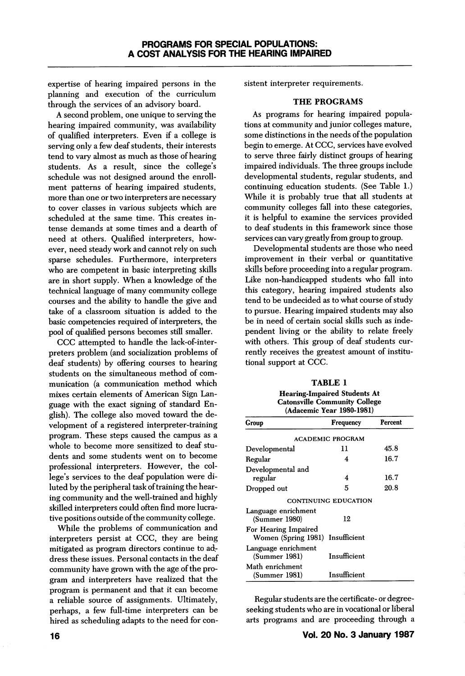expertise of hearing impaired persons in the planning and execution of the curriculum through the services of an advisory board.

A second problem, one unique to serving the hearing impaired community, was availability of qualified interpreters. Even if a college is serving only a few deaf students, their interests tend to vary almost as much as those of hearing students. As a result, since the college's schedule was not designed around the enroll ment patterns of hearing impaired students, more than one or two interpreters are necessary to cover classes in various subjects which are scheduled at the same time. This creates in tense demands at some times and a dearth of need at others. Qualified interpreters, how ever, need steady work and cannot rely on such sparse schedules. Furthermore, interpreters who are competent in basic interpreting skills are in short supply. When a knowledge of the technical language of many community college courses and the ability to handle the give and take of a classroom situation is added to the basic competencies required of interpreters, the pool of qualified persons becomes still smaller.

CCC attempted to handle the lack-of-interpreters problem (and socialization problems of deaf students) by offering courses to hearing students on the simultaneous method of com munication (a communication method which mixes certain elements of American Sign Lan guage with the exact signing of standard En glish). The college also moved toward the de velopment of a registered interpreter-training program. These steps caused the campus as a whole to become more sensitized to deaf stu dents and some students went on to become professional interpreters. However, the col lege's services to the deaf population were di luted by the peripheral task of training the hear ing community and the well-trained and highly skilled interpreters could often find more lucra tive positions outside of the community college.

While the problems of communication and interpreters persist at CCC, they are being mitigated as program directors continue to ad. dress these issues. Personal contacts in the deaf community have grown with the age of the pro gram and interpreters have realized that the program is permanent and that it can become a reliable source of assignments. Ultimately, perhaps, a few full-time interpreters can be hired as scheduling adapts to the need for consistent interpreter requirements.

## THE PROGRAMS

As programs for hearing impaired popula tions at community and junior colleges mature, some distinctions in the needs of the population begin to emerge. At CCC, services have evolved to serve three fairly distinct groups of hearing impaired individuals. The three groups include developmental students, regular students, and continuing education students. (See Table 1.) While it is probably true that all students at community colleges fall into these categories, it is helpful to examine the services provided to deaf students in this framework since those services can vary greatly from group to group.

Developmental students are those who need improvement in their verbal or quantitative skills before proceeding into a regular program. Like non-handicapped students who fall into this category, hearing impaired students also tend to be undecided as to what course of study to pursue. Hearing impaired students may also be in need of certain social skills such as inde pendent living or the ability to relate freely with others. This group of deaf students cur rently receives the greatest amount of institu tional support at CCC.

TABLE 1 Hearing-Impaired Students At Catonsville Community College (Adacemic Year 1980-1981)

| Group                                       | Frequency               | Percent |
|---------------------------------------------|-------------------------|---------|
|                                             | <b>ACADEMIC PROGRAM</b> |         |
| Developmental                               | 11                      | 45.8    |
| Regular                                     | 4                       | 16.7    |
| Developmental and<br>regular                | 4                       | 16.7    |
| Dropped out                                 | 5                       | 20.8    |
|                                             | CONTINUING EDUCATION    |         |
| Language enrichment<br>(Summer 1980)        | 12                      |         |
| For Hearing Impaired<br>Women (Spring 1981) | Insufficient            |         |
| Language enrichment<br>(Summer 1981)        | Insufficient            |         |
| Math enrichment<br>(Summer 1981)            | Insufficient            |         |

Regular students are the certificate- or degreeseeking students who are in vocational or liberal arts programs and are proceeding through a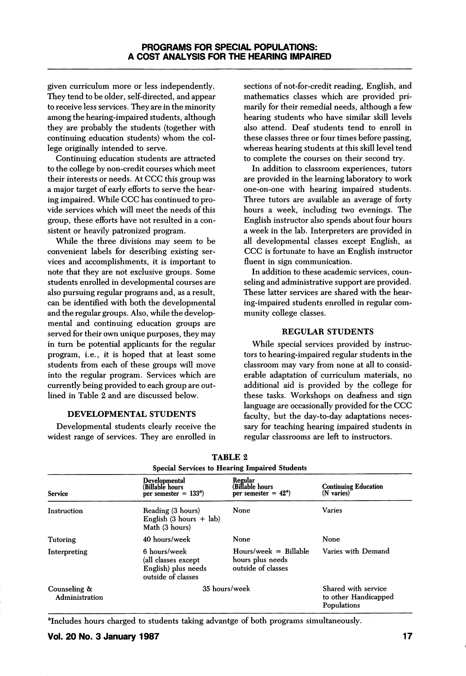given curriculum more or less independently. They tend to be older, self-directed, and appear to receive less services. They are in the minority among the hearing-impaired students, although they are probably the students (together with continuing education students) whom the col lege originally intended to serve.

Continuing education students are attracted to the college by non-credit courses which meet their interests or needs. At CCC this group was a major target of early efforts to serve the hear ing impaired. While CCC has continued to pro vide services which will meet the needs of this group, these efforts have not resulted in a con sistent or heavily patronized program.

While the three divisions may seem to be convenient labels for describing existing ser vices and accomplishments, it is important to note that they are not exclusive groups. Some students enrolled in developmental courses are also pursuing regular programs and, as a result, can be identified with both the developmental and the regular groups. Also, while the develop mental and continuing education groups are served for their own unique purposes, they may in turn be potential applicants for the regular program, i.e., it is hoped that at least some students from each of these groups will move into the regular program. Services which are currently being provided to each group are out lined in Table 2 and are discussed below.

# DEVELOPMENTAL STUDENTS

Developmental students clearly receive the widest range of services. They are enrolled in

sections of not-for-credit reading, English, and mathematics classes which are provided pri marily for their remedial needs, although a few hearing students who have similar skill levels also attend. Deaf students tend to enroll in these classes three or four times before passing, whereas hearing students at this skill level tend to complete the courses on their second try.

In addition to classroom experiences, tutors are provided in the learning laboratory to work one-on-one with hearing impaired students. Three tutors are available an average of forty hours a week, including two evenings. The English instructor also spends about four hours a week in the lab. Interpreters are provided in all developmental classes except English, as CCC is fortunate to have an English instructor fluent in sign communication.

In addition to these academic services, coun seling and administrative support are provided. These latter services are shared with the hear ing-impaired students enrolled in regular com munity college classes.

#### REGULAR STUDENTS

While special services provided by instruc tors to hearing-impaired regular students in the classroom may vary from none at all to consid erable adaptation of curriculum materials, no additional aid is provided by the college for these tasks. Workshops on deafness and sign language are occasionally provided for the CCC faculty, but the day-to-day adaptations neces sary for teaching hearing impaired students in regular classrooms are left to instructors.

| <b>Special Services to Hearing Impaired Students</b> |                                                                                   |                                                                   |                                                            |  |  |
|------------------------------------------------------|-----------------------------------------------------------------------------------|-------------------------------------------------------------------|------------------------------------------------------------|--|--|
| Service                                              | Developmental<br>(Billablè hours<br>per semester $= 133^a$ )                      | Regular<br>(Billable hours<br>per semester = $42^a$ )             | <b>Continuing Education</b><br>(N varies)                  |  |  |
| Instruction                                          | Reading (3 hours)<br>English $(3 \text{ hours } + \text{ lab})$<br>Math (3 hours) | None                                                              | Varies                                                     |  |  |
| <b>Tutoring</b>                                      | 40 hours/week                                                                     | None                                                              | None                                                       |  |  |
| Interpreting                                         | 6 hours/week<br>(all classes except<br>English) plus needs<br>outside of classes  | $Hours/week = Billable$<br>hours plus needs<br>outside of classes | Varies with Demand                                         |  |  |
| Counseling &<br>Administration                       | 35 hours/week                                                                     |                                                                   | Shared with service<br>to other Handicapped<br>Populations |  |  |

TABLE 2

^Includes hours charged to students taking advantge of both programs simultaneously.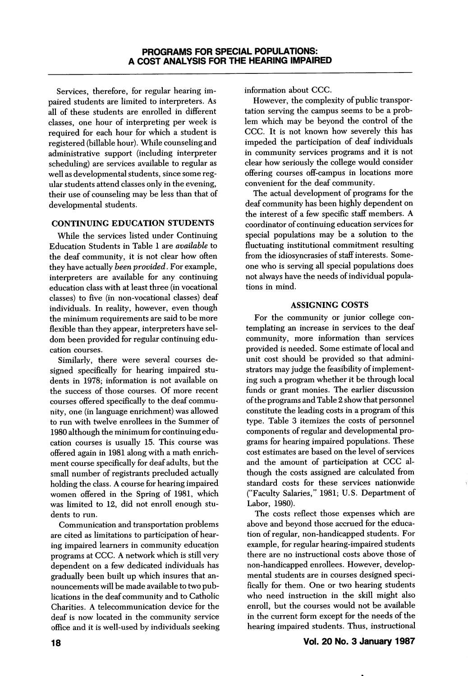Services, therefore, for regular hearing im paired students are limited to interpreters. As ail of these students are enrolled in different classes, one hour of interpreting per week is required for each hour for which a student is registered (billable hour). While counseling and administrative support (including interpreter scheduling) are services available to regular as well as developmental students, since some reg ular students attend classes only in the evening, their use of counseling may be less than that of developmental students.

# CONTINUING EDUCATION STUDENTS

While the services listed under Continuing Education Students in Table 1 are available to the deaf community, it is not clear how often they have actually been provided. For example, interpreters are available for any continuing education class with at least three (in vocational classes) to five (in non-vocational classes) deaf individuals. In reality, however, even though the minimum requirements are said to be more flexible than they appear, interpreters have sel dom been provided for regular continuing edu cation courses.

Similarly, there were several courses de signed specifically for hearing impaired stu dents in 1978; information is not available on the success of those courses. Of more recent courses offered specifically to the deaf commu nity, one (in language enrichment) was allowed to run with twelve enrollees in the Summer of 1980 although the minimum for continuing edu cation courses is usually 15. This course was offered again in 1981 along with a math enrich ment course specifically for deaf adults, but the small number of registrants precluded actually holding the class. A course for hearing impaired women offered in the Spring of 1981, which was limited to 12, did not enroll enough stu dents to run.

Communication and transportation problems are cited as limitations to participation of hear ing impaired learners in community education programs at CCC. A network which is still very dependent on a few dedicated individuals has gradually been built up which insures that an nouncements will be made available to two pub lications in the deaf community and to Catholic Charities. A telecommunication device for the deaf is now located in the community service office and it is well-used by individuals seeking information about CCC.

However, the complexity of public transpor tation serving the campus seems to be a prob lem which may be beyond the control of the CCC. It is not known how severely this has impeded the participation of deaf individuals in community services programs and it is not clear how seriously the college would consider offering courses off-campus in locations more convenient for the deaf community.

The actual development of programs for the deaf community has been highly dependent on the interest of a few specific staff members. A coordinator of continuing education services for special populations may be a solution to the fluctuating institutional commitment resulting from the idiosyncrasies of staff interests. Some one who is serving all special populations does not always have the needs of individual popula tions in mind.

### ASSIGNING COSTS

For the community or junior college con templating an increase in services to the deal community, more information than services provided is needed. Some estimate of local and unit cost should be provided so that admini strators may judge the feasibility of implement ing such a program whether it be through local funds or grant monies. The earlier discussion of the programs and Table 2 show that personnel constitute the leading costs in a program of this type. Table 3 itemizes the costs of personnel components of regular and developmental pro grams for hearing impaired populations. These cost estimates are based on the level of services and the amount of participation at CCC al though the costs assigned are calculated from standard costs for these services nationwide ("Faculty Salaries," 1981; U.S. Department of Labor, 1980).

The costs reflect those expenses which are above and beyond those accrued for the educa tion of regular, non-handicapped students. For example, for regular hearing-impaired students there are no instructional costs above those of non-handicapped enrollees. However, develop mental students are in courses designed speci fically for them. One or two hearing students who need instruction in the skill might also enroll, but the courses would not be available in the current form except for the needs of the hearing impaired students. Thus, instructional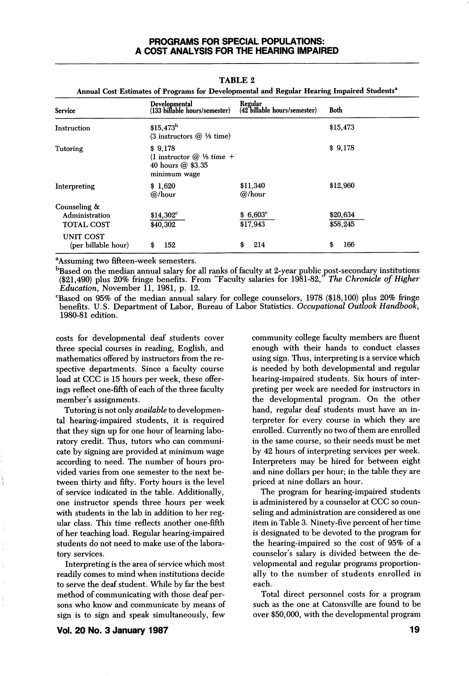# PROGRAMS FOR SPECIAL POPULATIONS: A COST ANALYSIS FOR THE HEARING IMPAIRED

| Annual Cost Estimates of Programs for Developmental and Regular Hearing Impaired Students <sup>a</sup> |                                                                                        |                                         |                      |  |
|--------------------------------------------------------------------------------------------------------|----------------------------------------------------------------------------------------|-----------------------------------------|----------------------|--|
| Service                                                                                                | Developmental<br>(133 billable hours/semester)                                         | Regular<br>(42 billable hours/semester) | Both                 |  |
| Instruction                                                                                            | $$15,473^{\rm b}$<br>$(3$ instructors $@$ <sup>1</sup> / <sub>5</sub> time)            |                                         | \$15,473             |  |
| Tutoring                                                                                               | \$9,178<br>(1 instructor $@$ $\frac{1}{5}$ time +<br>40 hours @ \$3.35<br>minimum wage |                                         | \$9,178              |  |
| Interpreting                                                                                           | \$1,620<br>@/hour                                                                      | \$11,340<br>@/hour                      | \$12,960             |  |
| Counseling &<br>Administration<br><b>TOTAL COST</b>                                                    | $$14,302^{\circ}$<br>\$40,302                                                          | $$6,603^{\circ}$$<br>\$17,943           | \$20,634<br>\$58,245 |  |
| UNIT COST<br>(per billable hour)                                                                       | 152<br>\$                                                                              | \$<br>214                               | 166<br>\$            |  |

#### TABLE 2

^Assuming two fifteen-week semesters.

<sup>b</sup>Based on the median annual salary for all ranks of faculty at 2-year public post-secondary institutions (\$21.490) plus 20% fringe benefits. From "Faculty salaries for 1981-82," The Chronicle of Higher (\$21,490) plus 20% fringe benefits. From "Faculty salaries for 1981-82," Education, November 11, 1981, p. 12.

^Based on 95% of the median annual salary for college counselors, 1978 (\$18,100) plus 20% fringe benefits. U.S. Department of Labor, Bureau of Labor Statistics. Occupational Outlook Handbook, 1980-81 edition.

costs for developmental deaf students cover three special courses in reading, English, and mathematics offered by instructors from the re spective departments. Since a faculty course load at CCC is 15 hours per week, these offer ings reflect one-fifth of each of the three faculty member's assignments.

Tutoring is not only *available* to developmental hearing-impaired students, it is required that they sign up for one hour of learning labo ratory credit. Thus, tutors who can communi cate by signing are provided at minimum wage according to need. The number of hours pro vided varies from one semester to the next be tween thirty and fifty. Forty hours is the level of service indicated in the table. Additionally, one instructor spends three hours per week with students in the lab in addition to her reg ular class. This time reflects another one-fifth of her teaching load. Regular hearing-impaired students do not need to make use of the labora tory services.

Interpreting is the area of service which most readily comes to mind when institutions decide to serve the deaf student. While by far the best method of communicating with those deaf per sons who know and communicate by means of sign is to sign and speak simultaneously, few community college faculty members are fluent enough with their hands to conduct classes using sign. Thus, interpreting is a service which is needed by both developmental and regular hearing-impaired students. Six hours of inter preting per week are needed for instructors in the developmental program. On the other hand, regular deaf students must have an in terpreter for every course in which they are enrolled. Currently no two of them are enrolled in the same course, so their needs must be met by 42 hours of interpreting services per week. Interpreters may be hired for between eight and nine dollars per hour; in the table they are priced at nine dollars an hour.

The program for hearing-impaired students is administered by a counselor at CCC so coun seling and administration are considered as one item in Table 3. Ninety-five percent of her time is designated to be devoted to the program for the hearing-impaired so the cost of 95% of a counselor's salary is divided between the de velopmental and regular programs proportion ally to the number of students enrolled in each.

Total direct personnel costs for a program such as the one at Catonsville are found to be over \$50,000, with the developmental program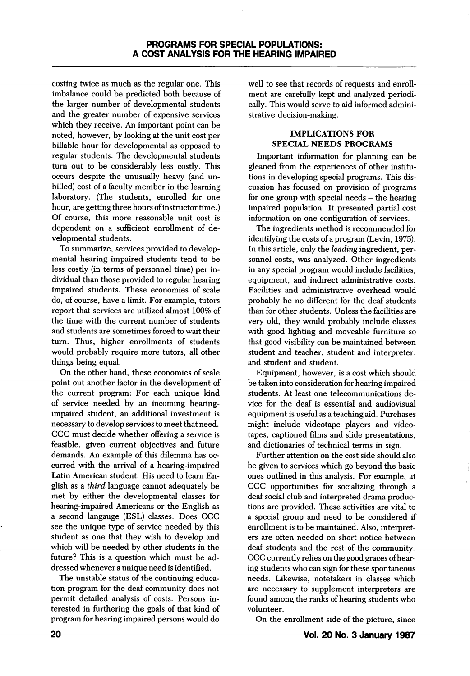costing twice as much as the regular one. This imbalance could be predicted both because of the larger number of developmental students and the greater number of expensive services which they receive. An important point can be noted, however, by looking at the unit cost per billable hour for developmental as opposed to regular students. The developmental students turn out to be considerably less costly. This occurs despite the unusually heavy (and un billed) cost of a faculty member in the learning laboratory. (The students, enrolled for one hour, are getting three hours of instructor time.) Of course, this more reasonable unit cost is dependent on a sufficient enrollment of de velopmental students.

To summarize, services provided to develop mental hearing impaired students tend to be less costly (in terms of personnel time) per in dividual than those provided to regular hearing impaired students. These economies of scale do, of course, have a limit. For example, tutors report that services are utilized almost 100% of the time with the current number of students and students are sometimes forced to wait their turn. Thus, higher enrollments of students would probably require more tutors, all other things being equal.

On the other hand, these economies of scale point out another factor in the development of the current program: For each unique kind of service needed by an incoming hearingimpaired student, an additional investment is necessary to develop services to meet that need. CCC must decide whether offering a service is feasible, given current objectives and future demands. An example of this dilemma has oc curred with the arrival of a hearing-impaired Latin American student. His need to leam En glish as a third language cannot adequately be met by either the developmental classes for hearing-impaired Americans or the English as a second langauge (ESL) classes. Does CCC see the unique type of service needed by this student as one that they wish to develop and which will be needed by other students in the future? This is a question which must be ad dressed whenever a unique need is identified.

The unstable status of the continuing educa tion program for the deaf community does not permit detailed analysis of costs. Persons in terested in furthering the goals of that kind of program for hearing impaired persons would do

well to see that records of requests and enrollment are carefully kept and analyzed periodi cally. This would serve to aid informed admini strative decision-making.

# IMPLICATIONS FOR SPECIAL NEEDS PROGRAMS

Important information for planning can be gleaned from the experiences of other institu tions in developing special programs. This dis cussion has focused on provision of programs for one group with special needs - the hearing impaired population. It presented partial cost information on one configuration of services.

The ingredients method is recommended for identifying the costs of a program (Levin, 1975). In this article, only the leading ingredient, per sonnel costs, was analyzed. Other ingredients in any special program would include facilities, equipment, and indirect administrative costs. Facilities and administrative overhead would probably be no different for the deaf students than for other students. Unless the facilities are very old, they would probably include classes with good lighting and moveable furniture so that good visibility can be maintained between student and teacher, student and interpreter, and student and student.

Equipment, however, is a cost which should be taken into consideration for hearing impaired students. At least one telecommunications de vice for the deaf is essential and audiovisual equipment is useful as a teaching aid. Purchases might include videotape players and video tapes, captioned films and slide presentations, and dictionaries of technical terms in sign.

Further attention on the cost side should also be given to services which go beyond the basic ones outlined in this analysis. For example, at CCC opportunities for socializing through a deaf social club and interpreted drama produc tions are provided. These activities are vital to a special group and need to be considered if enrollment is to be maintained. Also, interpret ers are often needed on short notice between deaf students and the rest of the community. CCC currently relies on the good graces of hear ing students who can sign for these spontaneous needs. Likewise, notetakers in classes which are necessary to supplement interpreters are found among the ranks of hearing students who volunteer.

On the enrollment side of the picture, since